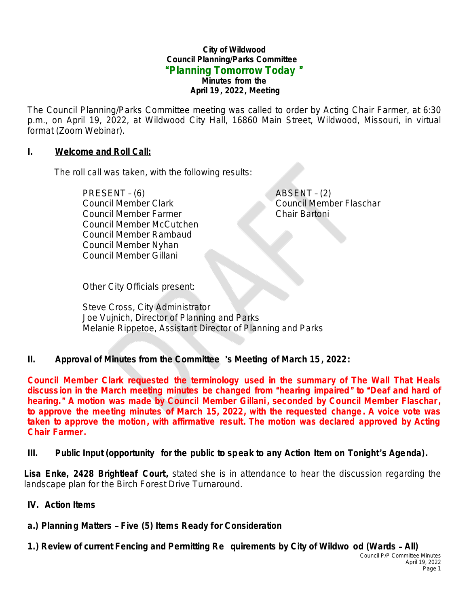#### **City of Wildwood Council Planning/Parks Committee** "**Planning Tomorrow Today** " *Minutes from the April 19, 2022, Meeting*

The Council Planning/Parks Committee meeting was called to order by Acting Chair Farmer, at 6:30 p.m., on April 19, 2022, at Wildwood City Hall, 16860 Main Street, Wildwood, Missouri, in virtual format (Zoom Webinar).

#### **I. Welcome and Roll Call:**

The roll call was taken, with the following results:

PRESENT – (6) ABSENT – (2) Council Member Clark Council Member Flaschar Council Member Farmer Chair Bartoni Council Member McCutchen Council Member Rambaud Council Member Nyhan Council Member Gillani

Other City Officials present:

Steve Cross, City Administrator Joe Vujnich, Director of Planning and Parks Melanie Rippetoe, Assistant Director of Planning and Parks

### **II. Approval of Minutes from the Committee** '**s Meeting of March 15, 2022:**

**Council Member Clark requested the terminology used in the summary of The Wall That Heals discuss ion in the March meeting minutes be changed from** "**hearing impaired** " **to** "**Deaf and hard of hearing.**" **A motion was made by Council Member Gillani, seconded by Council Member Flaschar, to approve the meeting minutes of March 15, 2022, with the requested change. A voice vote was taken to approve the motion, with affirmative result. The motion was declared approved by Acting Chair Farmer.**

### **III. Public Input (opportunity for the public to speak to any Action Item on Tonight**'**s Agenda).**

**Lisa Enke, 2428 Brightleaf Court,** stated she is in attendance to hear the discussion regarding the landscape plan for the Birch Forest Drive Turnaround.

- **IV. Action Items**
- **a.) Planning Matters Five (5) Items Ready for Consideration**

**1.) Review of current Fencing and Permitting Re quirements by City of Wildwo od (Wards** – **All)**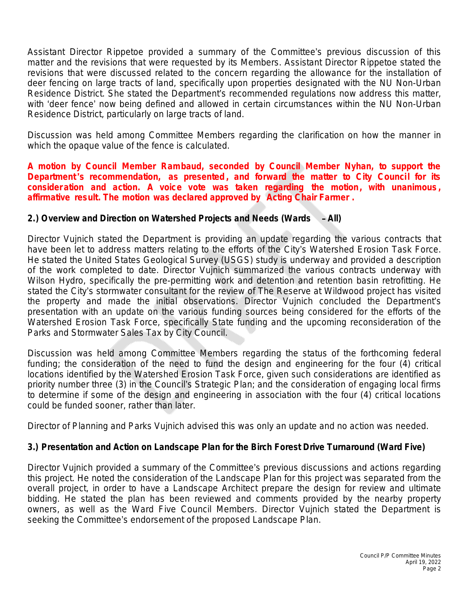Assistant Director Rippetoe provided a summary of the Committee's previous discussion of this matter and the revisions that were requested by its Members. Assistant Director Rippetoe stated the revisions that were discussed related to the concern regarding the allowance for the installation of deer fencing on large tracts of land, specifically upon properties designated with the NU Non-Urban Residence District. She stated the Department's recommended regulations now address this matter, with 'deer fence' now being defined and allowed in certain circumstances within the NU Non-Urban Residence District, particularly on large tracts of land.

Discussion was held among Committee Members regarding the clarification on how the manner in which the opaque value of the fence is calculated.

**A motion by Council Member Rambaud, seconded by Council Member Nyhan, to support the Department** '**s recommendation, as presented , and forward the matter to City Council for its consider ation and action. A voice vote was taken regarding the motion, with unanimous , affirmative result. The motion was declared approved by Acting Chair Farmer .**

# **2.) Overview and Direction on Watershed Projects and Needs (Wards** – **All)**

Director Vujnich stated the Department is providing an update regarding the various contracts that have been let to address matters relating to the efforts of the City's Watershed Erosion Task Force. He stated the United States Geological Survey (USGS) study is underway and provided a description of the work completed to date. Director Vujnich summarized the various contracts underway with Wilson Hydro, specifically the pre-permitting work and detention and retention basin retrofitting. He stated the City's stormwater consultant for the review of The Reserve at Wildwood project has visited the property and made the initial observations. Director Vujnich concluded the Department's presentation with an update on the various funding sources being considered for the efforts of the Watershed Erosion Task Force, specifically State funding and the upcoming reconsideration of the Parks and Stormwater Sales Tax by City Council.

Discussion was held among Committee Members regarding the status of the forthcoming federal funding; the consideration of the need to fund the design and engineering for the four  $(\tilde{4})$  critical locations identified by the Watershed Erosion Task Force, given such considerations are identified as priority number three (3) in the Council's Strategic Plan; and the consideration of engaging local firms to determine if some of the design and engineering in association with the four (4) critical locations could be funded sooner, rather than later.

Director of Planning and Parks Vujnich advised this was only an update and no action was needed.

# **3.) Presentation and Action on Landscape Plan for the Birch Forest Drive Turnaround (Ward Five)**

Director Vujnich provided a summary of the Committee's previous discussions and actions regarding this project. He noted the consideration of the Landscape Plan for this project was separated from the overall project, in order to have a Landscape Architect prepare the design for review and ultimate bidding. He stated the plan has been reviewed and comments provided by the nearby property owners, as well as the Ward Five Council Members. Director Vujnich stated the Department is seeking the Committee's endorsement of the proposed Landscape Plan.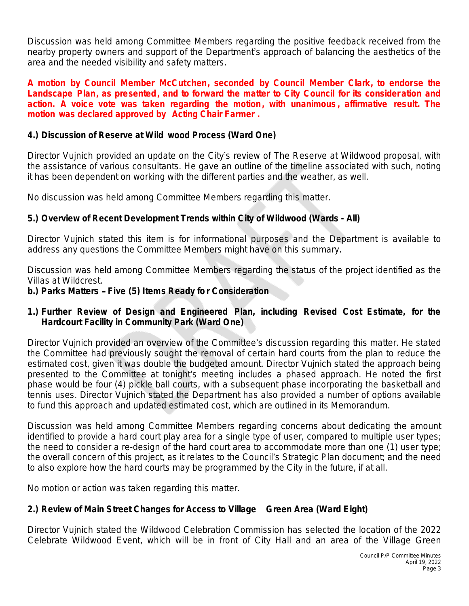Discussion was held among Committee Members regarding the positive feedback received from the nearby property owners and support of the Department's approach of balancing the aesthetics of the area and the needed visibility and safety matters.

**A motion by Council Member McCutchen, seconded by Council Member Clark, to endorse the Landscape Plan, as presented, and to forward the matter to City Council for its consider ation and action. A voice vote was taken regarding the motion, with unanimous , affirmative result. The motion was declared approved by Acting Chair Farmer .**

## **4.) Discussion of Reserve at Wild wood Process (Ward One)**

Director Vujnich provided an update on the City's review of The Reserve at Wildwood proposal, with the assistance of various consultants. He gave an outline of the timeline associated with such, noting it has been dependent on working with the different parties and the weather, as well.

No discussion was held among Committee Members regarding this matter.

# **5.) Overview of Recent Development Trends within City of Wildwood (Wards - All)**

Director Vujnich stated this item is for informational purposes and the Department is available to address any questions the Committee Members might have on this summary.

Discussion was held among Committee Members regarding the status of the project identified as the Villas at Wildcrest.

### **b.) Parks Matters** – **Five (5) Items Ready fo r Consideration**

## **1.) Further Review of Design and Engineered Plan, including Revised Cost Estimate, for the Hardcourt Facility in Community Park (Ward One)**

Director Vujnich provided an overview of the Committee's discussion regarding this matter. He stated the Committee had previously sought the removal of certain hard courts from the plan to reduce the estimated cost, given it was double the budgeted amount. Director Vujnich stated the approach being presented to the Committee at tonight's meeting includes a phased approach. He noted the first phase would be four (4) pickle ball courts, with a subsequent phase incorporating the basketball and tennis uses. Director Vujnich stated the Department has also provided a number of options available to fund this approach and updated estimated cost, which are outlined in its Memorandum.

Discussion was held among Committee Members regarding concerns about dedicating the amount identified to provide a hard court play area for a single type of user, compared to multiple user types; the need to consider a re-design of the hard court area to accommodate more than one (1) user type; the overall concern of this project, as it relates to the Council's Strategic Plan document; and the need to also explore how the hard courts may be programmed by the City in the future, if at all.

No motion or action was taken regarding this matter.

# **2.) Review of Main Street Changes for Access to Village Green Area (Ward Eight)**

Director Vujnich stated the Wildwood Celebration Commission has selected the location of the 2022 Celebrate Wildwood Event, which will be in front of City Hall and an area of the Village Green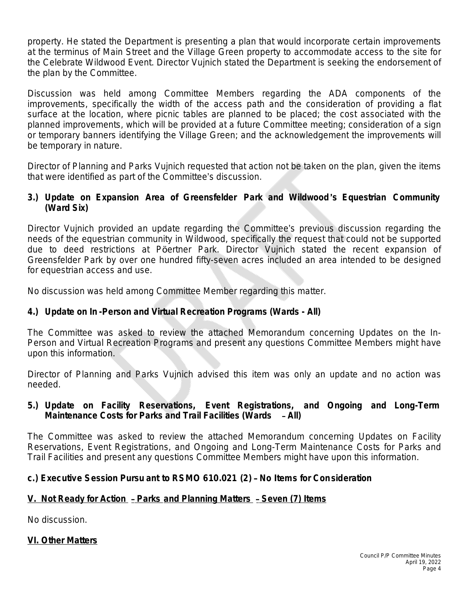property. He stated the Department is presenting a plan that would incorporate certain improvements at the terminus of Main Street and the Village Green property to accommodate access to the site for the Celebrate Wildwood Event. Director Vujnich stated the Department is seeking the endorsement of the plan by the Committee.

Discussion was held among Committee Members regarding the ADA components of the improvements, specifically the width of the access path and the consideration of providing a flat surface at the location, where picnic tables are planned to be placed; the cost associated with the planned improvements, which will be provided at a future Committee meeting; consideration of a sign or temporary banners identifying the Village Green; and the acknowledgement the improvements will be temporary in nature.

Director of Planning and Parks Vujnich requested that action not be taken on the plan, given the items that were identified as part of the Committee's discussion.

## **3.) Update on Expansion Area of Greensfelder Park and Wildwood** '**s Equestrian Community (Ward Six)**

Director Vujnich provided an update regarding the Committee's previous discussion regarding the needs of the equestrian community in Wildwood, specifically the request that could not be supported due to deed restrictions at Pöertner Park. Director Vujnich stated the recent expansion of Greensfelder Park by over one hundred fifty-seven acres included an area intended to be designed for equestrian access and use.

No discussion was held among Committee Member regarding this matter.

# **4.) Update on In -Person and Virtual Recreation Programs (Wards - All)**

The Committee was asked to review the attached Memorandum concerning *Updates on the In-Person and Virtual Recreation Programs* and present any questions Committee Members might have upon this information.

Director of Planning and Parks Vujnich advised this item was only an update and no action was needed.

### **5.) Update on Facility Reservations, Event Registrations, and Ongoing and Long-Term Maintenance Costs for Parks and Trail Facilities (Wards** – **All)**

The Committee was asked to review the attached Memorandum concerning *Updates on Facility Reservations, Event Registrations, and Ongoing and Long-Term Maintenance Costs for Parks and Trail Facilities* and present any questions Committee Members might have upon this information.

# **c.) Executive Session Pursu ant to RSMO 610.021 (2)** – **No Items for Consideration**

# **V. Not Ready for Action** – **Parks and Planning Matters** – **Seven (7) Items**

No discussion.

### **VI. Other Matters**